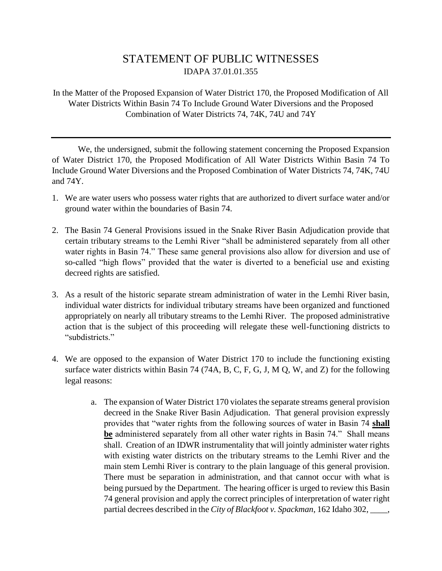## STATEMENT OF PUBLIC WITNESSES IDAPA 37.01.01.355

In the Matter of the Proposed Expansion of Water District 170, the Proposed Modification of All Water Districts Within Basin 74 To Include Ground Water Diversions and the Proposed Combination of Water Districts 74, 74K, 74U and 74Y

We, the undersigned, submit the following statement concerning the Proposed Expansion of Water District 170, the Proposed Modification of All Water Districts Within Basin 74 To Include Ground Water Diversions and the Proposed Combination of Water Districts 74, 74K, 74U and 74Y.

- 1. We are water users who possess water rights that are authorized to divert surface water and/or ground water within the boundaries of Basin 74.
- 2. The Basin 74 General Provisions issued in the Snake River Basin Adjudication provide that certain tributary streams to the Lemhi River "shall be administered separately from all other water rights in Basin 74." These same general provisions also allow for diversion and use of so-called "high flows" provided that the water is diverted to a beneficial use and existing decreed rights are satisfied.
- 3. As a result of the historic separate stream administration of water in the Lemhi River basin, individual water districts for individual tributary streams have been organized and functioned appropriately on nearly all tributary streams to the Lemhi River. The proposed administrative action that is the subject of this proceeding will relegate these well-functioning districts to "subdistricts"
- 4. We are opposed to the expansion of Water District 170 to include the functioning existing surface water districts within Basin 74 (74A, B, C, F, G, J, M Q, W, and Z) for the following legal reasons:
	- a. The expansion of Water District 170 violates the separate streams general provision decreed in the Snake River Basin Adjudication. That general provision expressly provides that "water rights from the following sources of water in Basin 74 **shall be** administered separately from all other water rights in Basin 74." Shall means shall. Creation of an IDWR instrumentality that will jointly administer water rights with existing water districts on the tributary streams to the Lemhi River and the main stem Lemhi River is contrary to the plain language of this general provision. There must be separation in administration, and that cannot occur with what is being pursued by the Department. The hearing officer is urged to review this Basin 74 general provision and apply the correct principles of interpretation of water right partial decrees described in the *City of Blackfoot v. Spackman*, 162 Idaho 302, \_\_\_\_,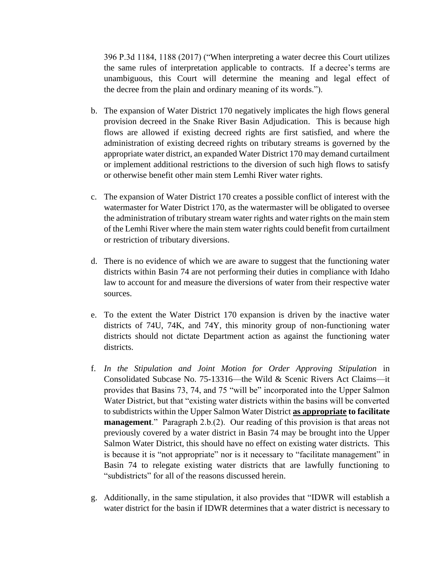396 P.3d 1184, 1188 (2017) ("When interpreting a water decree this Court utilizes the same rules of interpretation applicable to contracts. If a decree's terms are unambiguous, this Court will determine the meaning and legal effect of the decree from the plain and ordinary meaning of its words.").

- b. The expansion of Water District 170 negatively implicates the high flows general provision decreed in the Snake River Basin Adjudication. This is because high flows are allowed if existing decreed rights are first satisfied, and where the administration of existing decreed rights on tributary streams is governed by the appropriate water district, an expanded Water District 170 may demand curtailment or implement additional restrictions to the diversion of such high flows to satisfy or otherwise benefit other main stem Lemhi River water rights.
- c. The expansion of Water District 170 creates a possible conflict of interest with the watermaster for Water District 170, as the watermaster will be obligated to oversee the administration of tributary stream water rights and water rights on the main stem of the Lemhi River where the main stem water rights could benefit from curtailment or restriction of tributary diversions.
- d. There is no evidence of which we are aware to suggest that the functioning water districts within Basin 74 are not performing their duties in compliance with Idaho law to account for and measure the diversions of water from their respective water sources.
- e. To the extent the Water District 170 expansion is driven by the inactive water districts of 74U, 74K, and 74Y, this minority group of non-functioning water districts should not dictate Department action as against the functioning water districts.
- f. *In the Stipulation and Joint Motion for Order Approving Stipulation* in Consolidated Subcase No. 75-13316—the Wild & Scenic Rivers Act Claims—it provides that Basins 73, 74, and 75 "will be" incorporated into the Upper Salmon Water District, but that "existing water districts within the basins will be converted to subdistricts within the Upper Salmon Water District **as appropriate to facilitate management**." Paragraph 2.b.(2). Our reading of this provision is that areas not previously covered by a water district in Basin 74 may be brought into the Upper Salmon Water District, this should have no effect on existing water districts. This is because it is "not appropriate" nor is it necessary to "facilitate management" in Basin 74 to relegate existing water districts that are lawfully functioning to "subdistricts" for all of the reasons discussed herein.
- g. Additionally, in the same stipulation, it also provides that "IDWR will establish a water district for the basin if IDWR determines that a water district is necessary to